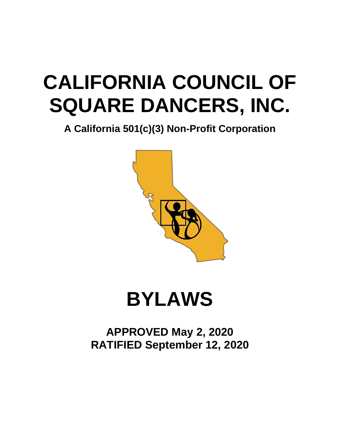# **CALIFORNIA COUNCIL OF SQUARE DANCERS, INC.**

**A California 501(c)(3) Non-Profit Corporation**



# **BYLAWS**

**APPROVED May 2, 2020 RATIFIED September 12, 2020**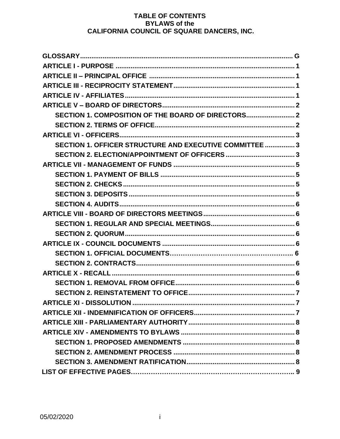# TABLE OF CONTENTS **BYLAWS of the CALIFORNIA COUNCIL OF SQUARE DANCERS, INC.**

| SECTION 1. COMPOSITION OF THE BOARD OF DIRECTORS        |
|---------------------------------------------------------|
|                                                         |
|                                                         |
| SECTION 1. OFFICER STRUCTURE AND EXECUTIVE COMMITTEE  3 |
|                                                         |
|                                                         |
|                                                         |
|                                                         |
|                                                         |
|                                                         |
|                                                         |
|                                                         |
|                                                         |
|                                                         |
|                                                         |
|                                                         |
|                                                         |
|                                                         |
|                                                         |
|                                                         |
|                                                         |
|                                                         |
|                                                         |
|                                                         |
|                                                         |
|                                                         |
|                                                         |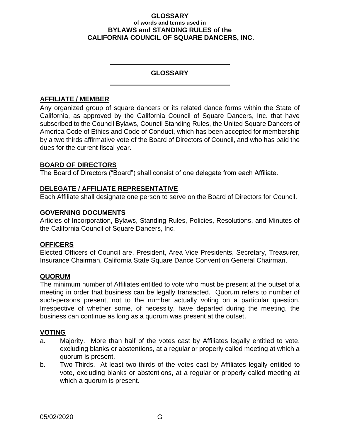#### **GLOSSARY of words and terms used in BYLAWS and STANDING RULES of the CALIFORNIA COUNCIL OF SQUARE DANCERS, INC.**

## **GLOSSARY**

## **AFFILIATE / MEMBER**

Any organized group of square dancers or its related dance forms within the State of California, as approved by the California Council of Square Dancers, Inc. that have subscribed to the Council Bylaws, Council Standing Rules, the United Square Dancers of America Code of Ethics and Code of Conduct, which has been accepted for membership by a two thirds affirmative vote of the Board of Directors of Council, and who has paid the dues for the current fiscal year.

## **BOARD OF DIRECTORS**

The Board of Directors ("Board") shall consist of one delegate from each Affiliate.

## **DELEGATE / AFFILIATE REPRESENTATIVE**

Each Affiliate shall designate one person to serve on the Board of Directors for Council.

## **GOVERNING DOCUMENTS**

Articles of Incorporation, Bylaws, Standing Rules, Policies, Resolutions, and Minutes of the California Council of Square Dancers, Inc.

## **OFFICERS**

Elected Officers of Council are, President, Area Vice Presidents, Secretary, Treasurer, Insurance Chairman, California State Square Dance Convention General Chairman.

## **QUORUM**

The minimum number of Affiliates entitled to vote who must be present at the outset of a meeting in order that business can be legally transacted. Quorum refers to number of such-persons present, not to the number actually voting on a particular question. Irrespective of whether some, of necessity, have departed during the meeting, the business can continue as long as a quorum was present at the outset.

## **VOTING**

- a. Majority. More than half of the votes cast by Affiliates legally entitled to vote, excluding blanks or abstentions, at a regular or properly called meeting at which a quorum is present.
- b. Two-Thirds. At least two-thirds of the votes cast by Affiliates legally entitled to vote, excluding blanks or abstentions, at a regular or properly called meeting at which a quorum is present.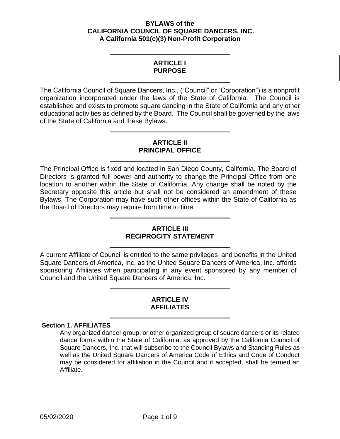#### **BYLAWS of the CALIFORNIA COUNCIL OF SQUARE DANCERS, INC. A California 501(c)(3) Non-Profit Corporation**

## **ARTICLE I PURPOSE**

<span id="page-3-0"></span>The California Council of Square Dancers, Inc., ("Council" or "Corporation") is a nonprofit organization incorporated under the laws of the State of California. The Council is established and exists to promote square dancing in the State of California and any other educational activities as defined by the Board. The Council shall be governed by the laws of the State of California and these Bylaws.

## **ARTICLE II PRINCIPAL OFFICE**

<span id="page-3-1"></span>The Principal Office is fixed and located in San Diego County, California. The Board of Directors is granted full power and authority to change the Principal Office from one location to another within the State of California. Any change shall be noted by the Secretary opposite this article but shall not be considered an amendment of these Bylaws. The Corporation may have such other offices within the State of California as the Board of Directors may require from time to time.

## **ARTICLE III RECIPROCITY STATEMENT**

<span id="page-3-2"></span>A current Affiliate of Council is entitled to the same privileges and benefits in the United Square Dancers of America, Inc. as the United Square Dancers of America, Inc. affords sponsoring Affiliates when participating in any event sponsored by any member of Council and the United Square Dancers of America, Inc.

#### **ARTICLE IV AFFILIATES**

## <span id="page-3-3"></span>**Section 1. AFFILIATES**

Any organized dancer group, or other organized group of square dancers or its related dance forms within the State of California, as approved by the California Council of Square Dancers, Inc. that will subscribe to the Council Bylaws and Standing Rules as well as the United Square Dancers of America Code of Ethics and Code of Conduct may be considered for affiliation in the Council and if accepted, shall be termed an Affiliate.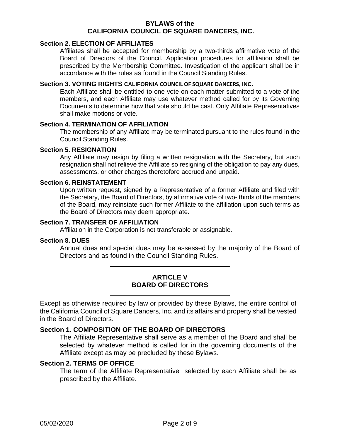#### **Section 2. ELECTION OF AFFILIATES**

Affiliates shall be accepted for membership by a two-thirds affirmative vote of the Board of Directors of the Council. Application procedures for affiliation shall be prescribed by the Membership Committee. Investigation of the applicant shall be in accordance with the rules as found in the Council Standing Rules.

#### **Section 3. VOTING RIGHTS CALIFORNIA COUNCIL OF SQUARE DANCERS, INC.**

Each Affiliate shall be entitled to one vote on each matter submitted to a vote of the members, and each Affiliate may use whatever method called for by its Governing Documents to determine how that vote should be cast. Only Affiliate Representatives shall make motions or vote.

#### **Section 4. TERMINATION OF AFFILIATION**

The membership of any Affiliate may be terminated pursuant to the rules found in the Council Standing Rules.

#### **Section 5. RESIGNATION**

Any Affiliate may resign by filing a written resignation with the Secretary, but such resignation shall not relieve the Affiliate so resigning of the obligation to pay any dues, assessments, or other charges theretofore accrued and unpaid.

#### **Section 6. REINSTATEMENT**

Upon written request, signed by a Representative of a former Affiliate and filed with the Secretary, the Board of Directors, by affirmative vote of two- thirds of the members of the Board, may reinstate such former Affiliate to the affiliation upon such terms as the Board of Directors may deem appropriate.

#### **Section 7. TRANSFER OF AFFILIATION**

Affiliation in the Corporation is not transferable or assignable.

#### **Section 8. DUES**

Annual dues and special dues may be assessed by the majority of the Board of Directors and as found in the Council Standing Rules.

## **ARTICLE V BOARD OF DIRECTORS**

<span id="page-4-0"></span>Except as otherwise required by law or provided by these Bylaws, the entire control of the California Council of Square Dancers, Inc. and its affairs and property shall be vested in the Board of Directors.

#### <span id="page-4-1"></span>**Section 1. COMPOSITION OF THE BOARD OF DIRECTORS**

The Affiliate Representative shall serve as a member of the Board and shall be selected by whatever method is called for in the governing documents of the Affiliate except as may be precluded by these Bylaws.

#### <span id="page-4-2"></span>**Section 2. TERMS OF OFFICE**

The term of the Affiliate Representative selected by each Affiliate shall be as prescribed by the Affiliate.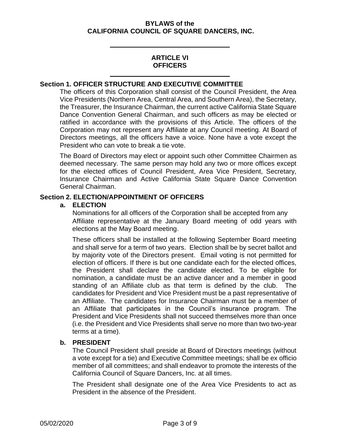## **ARTICLE VI OFFICERS**

#### <span id="page-5-1"></span><span id="page-5-0"></span>**Section 1. OFFICER STRUCTURE AND EXECUTIVE COMMITTEE**

The officers of this Corporation shall consist of the Council President, the Area Vice Presidents (Northern Area, Central Area, and Southern Area), the Secretary, the Treasurer, the Insurance Chairman, the current active California State Square Dance Convention General Chairman, and such officers as may be elected or ratified in accordance with the provisions of this Article. The officers of the Corporation may not represent any Affiliate at any Council meeting. At Board of Directors meetings, all the officers have a voice. None have a vote except the President who can vote to break a tie vote.

The Board of Directors may elect or appoint such other Committee Chairmen as deemed necessary. The same person may hold any two or more offices except for the elected offices of Council President, Area Vice President, Secretary, Insurance Chairman and Active California State Square Dance Convention General Chairman.

#### <span id="page-5-2"></span>**Section 2. ELECTION/APPOINTMENT OF OFFICERS**

#### **a. ELECTION**

Nominations for all officers of the Corporation shall be accepted from any Affiliate representative at the January Board meeting of odd years with elections at the May Board meeting.

These officers shall be installed at the following September Board meeting and shall serve for a term of two years. Election shall be by secret ballot and by majority vote of the Directors present. Email voting is not permitted for election of officers. If there is but one candidate each for the elected offices, the President shall declare the candidate elected. To be eligible for nomination, a candidate must be an active dancer and a member in good standing of an Affiliate club as that term is defined by the club. The candidates for President and Vice President must be a past representative of an Affiliate. The candidates for Insurance Chairman must be a member of an Affiliate that participates in the Council's insurance program. The President and Vice Presidents shall not succeed themselves more than once (i.e. the President and Vice Presidents shall serve no more than two two-year terms at a time).

## **b. PRESIDENT**

The Council President shall preside at Board of Directors meetings (without a vote except for a tie) and Executive Committee meetings; shall be ex officio member of all committees; and shall endeavor to promote the interests of the California Council of Square Dancers, Inc. at all times.

The President shall designate one of the Area Vice Presidents to act as President in the absence of the President.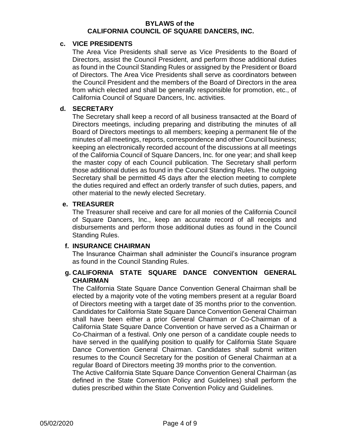#### **c. VICE PRESIDENTS**

The Area Vice Presidents shall serve as Vice Presidents to the Board of Directors, assist the Council President, and perform those additional duties as found in the Council Standing Rules or assigned by the President or Board of Directors. The Area Vice Presidents shall serve as coordinators between the Council President and the members of the Board of Directors in the area from which elected and shall be generally responsible for promotion, etc., of California Council of Square Dancers, Inc. activities.

#### **d. SECRETARY**

The Secretary shall keep a record of all business transacted at the Board of Directors meetings, including preparing and distributing the minutes of all Board of Directors meetings to all members; keeping a permanent file of the minutes of all meetings, reports, correspondence and other Council business; keeping an electronically recorded account of the discussions at all meetings of the California Council of Square Dancers, Inc. for one year; and shall keep the master copy of each Council publication. The Secretary shall perform those additional duties as found in the Council Standing Rules. The outgoing Secretary shall be permitted 45 days after the election meeting to complete the duties required and effect an orderly transfer of such duties, papers, and other material to the newly elected Secretary.

## **e. TREASURER**

The Treasurer shall receive and care for all monies of the California Council of Square Dancers, Inc., keep an accurate record of all receipts and disbursements and perform those additional duties as found in the Council Standing Rules.

## **f. INSURANCE CHAIRMAN**

The Insurance Chairman shall administer the Council's insurance program as found in the Council Standing Rules.

# **g. CALIFORNIA STATE SQUARE DANCE CONVENTION GENERAL CHAIRMAN**

The California State Square Dance Convention General Chairman shall be elected by a majority vote of the voting members present at a regular Board of Directors meeting with a target date of 35 months prior to the convention. Candidates for California State Square Dance Convention General Chairman shall have been either a prior General Chairman or Co-Chairman of a California State Square Dance Convention or have served as a Chairman or Co-Chairman of a festival. Only one person of a candidate couple needs to have served in the qualifying position to qualify for California State Square Dance Convention General Chairman. Candidates shall submit written resumes to the Council Secretary for the position of General Chairman at a regular Board of Directors meeting 39 months prior to the convention.

The Active California State Square Dance Convention General Chairman (as defined in the State Convention Policy and Guidelines) shall perform the duties prescribed within the State Convention Policy and Guidelines.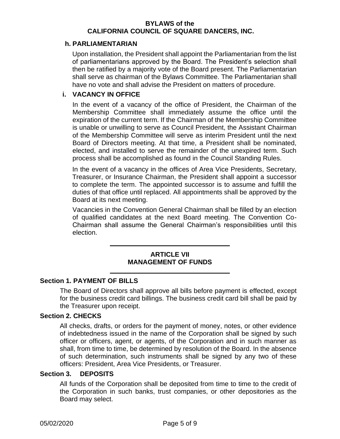#### **h. PARLIAMENTARIAN**

Upon installation, the President shall appoint the Parliamentarian from the list of parliamentarians approved by the Board. The President's selection shall then be ratified by a majority vote of the Board present. The Parliamentarian shall serve as chairman of the Bylaws Committee. The Parliamentarian shall have no vote and shall advise the President on matters of procedure.

#### **i. VACANCY IN OFFICE**

In the event of a vacancy of the office of President, the Chairman of the Membership Committee shall immediately assume the office until the expiration of the current term. If the Chairman of the Membership Committee is unable or unwilling to serve as Council President, the Assistant Chairman of the Membership Committee will serve as interim President until the next Board of Directors meeting. At that time, a President shall be nominated, elected, and installed to serve the remainder of the unexpired term. Such process shall be accomplished as found in the Council Standing Rules.

In the event of a vacancy in the offices of Area Vice Presidents, Secretary, Treasurer, or Insurance Chairman, the President shall appoint a successor to complete the term. The appointed successor is to assume and fulfill the duties of that office until replaced. All appointments shall be approved by the Board at its next meeting.

Vacancies in the Convention General Chairman shall be filled by an election of qualified candidates at the next Board meeting. The Convention Co-Chairman shall assume the General Chairman's responsibilities until this election.

## <span id="page-7-3"></span>**ARTICLE VII MANAGEMENT OF FUNDS**

## <span id="page-7-1"></span><span id="page-7-0"></span>**Section 1. PAYMENT OF BILLS**

The Board of Directors shall approve all bills before payment is effected, except for the business credit card billings. The business credit card bill shall be paid by the Treasurer upon receipt.

#### <span id="page-7-2"></span>**Section 2. CHECKS**

All checks, drafts, or orders for the payment of money, notes, or other evidence of indebtedness issued in the name of the Corporation shall be signed by such officer or officers, agent, or agents, of the Corporation and in such manner as shall, from time to time, be determined by resolution of the Board. In the absence of such determination, such instruments shall be signed by any two of these officers: President, Area Vice Presidents, or Treasurer.

#### **Section 3. DEPOSITS**

All funds of the Corporation shall be deposited from time to time to the credit of the Corporation in such banks, trust companies, or other depositories as the Board may select.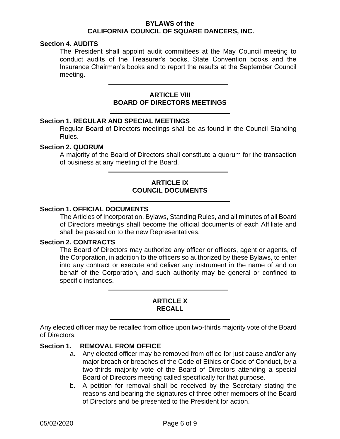#### <span id="page-8-0"></span>**Section 4. AUDITS**

The President shall appoint audit committees at the May Council meeting to conduct audits of the Treasurer's books, State Convention books and the Insurance Chairman's books and to report the results at the September Council meeting.

#### **ARTICLE VIII BOARD OF DIRECTORS MEETINGS**

#### <span id="page-8-2"></span><span id="page-8-1"></span>**Section 1. REGULAR AND SPECIAL MEETINGS**

Regular Board of Directors meetings shall be as found in the Council Standing Rules.

#### <span id="page-8-3"></span>**Section 2. QUORUM**

A majority of the Board of Directors shall constitute a quorum for the transaction of business at any meeting of the Board.

# **ARTICLE IX COUNCIL DOCUMENTS**

#### <span id="page-8-4"></span>**Section 1. OFFICIAL DOCUMENTS**

The Articles of Incorporation, Bylaws, Standing Rules, and all minutes of all Board of Directors meetings shall become the official documents of each Affiliate and shall be passed on to the new Representatives.

#### <span id="page-8-5"></span>**Section 2. CONTRACTS**

The Board of Directors may authorize any officer or officers, agent or agents, of the Corporation, in addition to the officers so authorized by these Bylaws, to enter into any contract or execute and deliver any instrument in the name of and on behalf of the Corporation, and such authority may be general or confined to specific instances.

#### **ARTICLE X RECALL**

<span id="page-8-6"></span>Any elected officer may be recalled from office upon two-thirds majority vote of the Board of Directors.

## **Section 1. REMOVAL FROM OFFICE**

- <span id="page-8-7"></span>a. Any elected officer may be removed from office for just cause and/or any major breach or breaches of the Code of Ethics or Code of Conduct, by a two-thirds majority vote of the Board of Directors attending a special Board of Directors meeting called specifically for that purpose.
- b. A petition for removal shall be received by the Secretary stating the reasons and bearing the signatures of three other members of the Board of Directors and be presented to the President for action.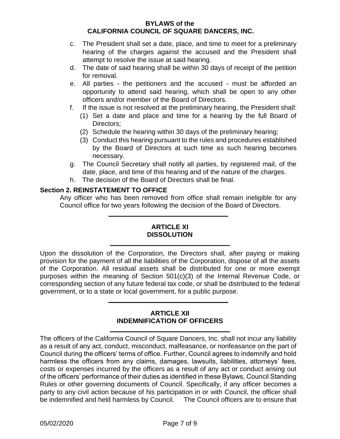- c. The President shall set a date, place, and time to meet for a preliminary hearing of the charges against the accused and the President shall attempt to resolve the issue at said hearing.
- d. The date of said hearing shall be within 30 days of receipt of the petition for removal.
- e. All parties the petitioners and the accused must be afforded an opportunity to attend said hearing, which shall be open to any other officers and/or member of the Board of Directors.
- f. If the issue is not resolved at the preliminary hearing, the President shall:
	- (1) Set a date and place and time for a hearing by the full Board of Directors;
	- (2) Schedule the hearing within 30 days of the preliminary hearing;
	- (3) Conduct this hearing pursuant to the rules and procedures established by the Board of Directors at such time as such hearing becomes necessary.
- g. The Council Secretary shall notify all parties, by registered mail, of the date, place, and time of this hearing and of the nature of the charges.
- h. The decision of the Board of Directors shall be final.

## <span id="page-9-0"></span>**Section 2. REINSTATEMENT TO OFFICE**

Any officer who has been removed from office shall remain ineligible for any Council office for two years following the decision of the Board of Directors.

#### **ARTICLE XI DISSOLUTION**

<span id="page-9-1"></span>Upon the dissolution of the Corporation, the Directors shall, after paying or making provision for the payment of all the liabilities of the Corporation, dispose of all the assets of the Corporation. All residual assets shall be distributed for one or more exempt purposes within the meaning of Section 501(c)(3) of the Internal Revenue Code, or corresponding section of any future federal tax code, or shall be distributed to the federal government, or to a state or local government, for a public purpose.

#### **ARTICLE XII INDEMNIFICATION OF OFFICERS**

<span id="page-9-2"></span>The officers of the California Council of Square Dancers, Inc. shall not incur any liability as a result of any act, conduct, misconduct, malfeasance, or nonfeasance on the part of Council during the officers' terms of office. Further, Council agrees to indemnify and hold harmless the officers from any claims, damages, lawsuits, liabilities, attorneys' fees, costs or expenses incurred by the officers as a result of any act or conduct arising out of the officers' performance of their duties as identified in these Bylaws, Council Standing Rules or other governing documents of Council. Specifically, if any officer becomes a party to any civil action because of his participation in or with Council, the officer shall be indemnified and held harmless by Council. The Council officers are to ensure that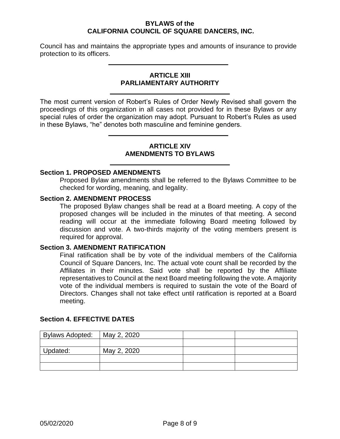Council has and maintains the appropriate types and amounts of insurance to provide protection to its officers.

## **ARTICLE XIII PARLIAMENTARY AUTHORITY**

<span id="page-10-0"></span>The most current version of Robert's Rules of Order Newly Revised shall govern the proceedings of this organization in all cases not provided for in these Bylaws or any special rules of order the organization may adopt. Pursuant to Robert's Rules as used in these Bylaws, "he" denotes both masculine and feminine genders.

## **ARTICLE XIV AMENDMENTS TO BYLAWS**

## <span id="page-10-2"></span><span id="page-10-1"></span>**Section 1. PROPOSED AMENDMENTS**

Proposed Bylaw amendments shall be referred to the Bylaws Committee to be checked for wording, meaning, and legality.

#### <span id="page-10-3"></span>**Section 2. AMENDMENT PROCESS**

The proposed Bylaw changes shall be read at a Board meeting. A copy of the proposed changes will be included in the minutes of that meeting. A second reading will occur at the immediate following Board meeting followed by discussion and vote. A two-thirds majority of the voting members present is required for approval.

#### <span id="page-10-4"></span>**Section 3. AMENDMENT RATIFICATION**

Final ratification shall be by vote of the individual members of the California Council of Square Dancers, Inc. The actual vote count shall be recorded by the Affiliates in their minutes. Said vote shall be reported by the Affiliate representatives to Council at the next Board meeting following the vote. A majority vote of the individual members is required to sustain the vote of the Board of Directors. Changes shall not take effect until ratification is reported at a Board meeting.

| <b>Bylaws Adopted:</b> | May 2, 2020 |  |
|------------------------|-------------|--|
|                        |             |  |
| Updated:               | May 2, 2020 |  |
|                        |             |  |
|                        |             |  |

## **Section 4. EFFECTIVE DATES**